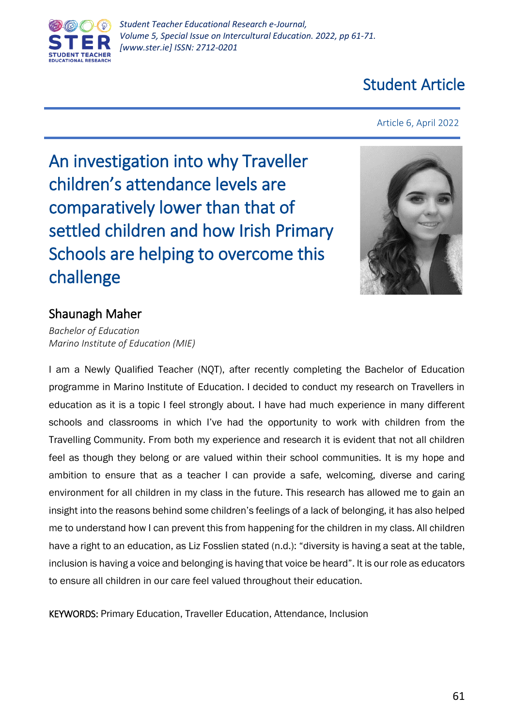

# Student Article

Article 6, April 2022

An investigation into why Traveller children's attendance levels are comparatively lower than that of settled children and how Irish Primary Schools are helping to overcome this challenge



# Shaunagh Maher

*Bachelor of Education Marino Institute of Education (MIE)*

I am a Newly Qualified Teacher (NQT), after recently completing the Bachelor of Education programme in Marino Institute of Education. I decided to conduct my research on Travellers in education as it is a topic I feel strongly about. I have had much experience in many different schools and classrooms in which I've had the opportunity to work with children from the Travelling Community. From both my experience and research it is evident that not all children feel as though they belong or are valued within their school communities. It is my hope and ambition to ensure that as a teacher I can provide a safe, welcoming, diverse and caring environment for all children in my class in the future. This research has allowed me to gain an insight into the reasons behind some children's feelings of a lack of belonging, it has also helped me to understand how I can prevent this from happening for the children in my class. All children have a right to an education, as Liz Fosslien stated (n.d.): "diversity is having a seat at the table, inclusion is having a voice and belonging is having that voice be heard". It is our role as educators to ensure all children in our care feel valued throughout their education.

KEYWORDS: Primary Education, Traveller Education, Attendance, Inclusion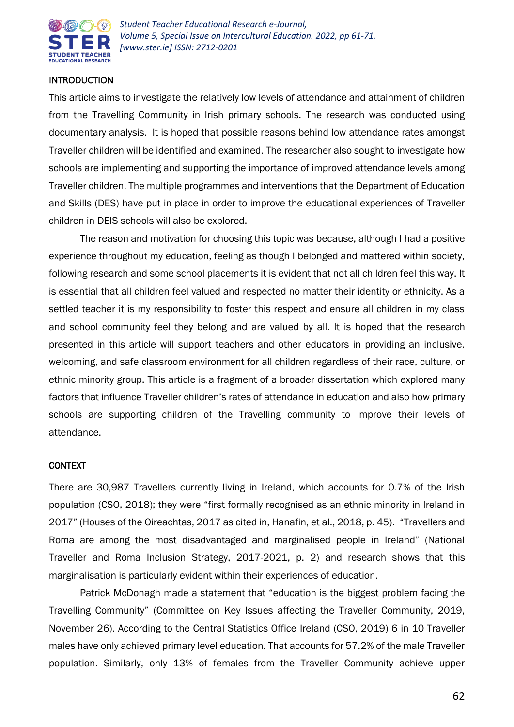

# INTRODUCTION

This article aims to investigate the relatively low levels of attendance and attainment of children from the Travelling Community in Irish primary schools. The research was conducted using documentary analysis. It is hoped that possible reasons behind low attendance rates amongst Traveller children will be identified and examined. The researcher also sought to investigate how schools are implementing and supporting the importance of improved attendance levels among Traveller children. The multiple programmes and interventions that the Department of Education and Skills (DES) have put in place in order to improve the educational experiences of Traveller children in DEIS schools will also be explored.

The reason and motivation for choosing this topic was because, although I had a positive experience throughout my education, feeling as though I belonged and mattered within society, following research and some school placements it is evident that not all children feel this way. It is essential that all children feel valued and respected no matter their identity or ethnicity. As a settled teacher it is my responsibility to foster this respect and ensure all children in my class and school community feel they belong and are valued by all. It is hoped that the research presented in this article will support teachers and other educators in providing an inclusive, welcoming, and safe classroom environment for all children regardless of their race, culture, or ethnic minority group. This article is a fragment of a broader dissertation which explored many factors that influence Traveller children's rates of attendance in education and also how primary schools are supporting children of the Travelling community to improve their levels of attendance.

## CONTEXT

There are 30,987 Travellers currently living in Ireland, which accounts for 0.7% of the Irish population (CSO, 2018); they were "first formally recognised as an ethnic minority in Ireland in 2017" (Houses of the Oireachtas, 2017 as cited in, Hanafin, et al., 2018, p. 45). "Travellers and Roma are among the most disadvantaged and marginalised people in Ireland" (National Traveller and Roma Inclusion Strategy, 2017-2021, p. 2) and research shows that this marginalisation is particularly evident within their experiences of education.

Patrick McDonagh made a statement that "education is the biggest problem facing the Travelling Community" (Committee on Key Issues affecting the Traveller Community, 2019, November 26). According to the Central Statistics Office Ireland (CSO, 2019) 6 in 10 Traveller males have only achieved primary level education. That accounts for 57.2% of the male Traveller population. Similarly, only 13% of females from the Traveller Community achieve upper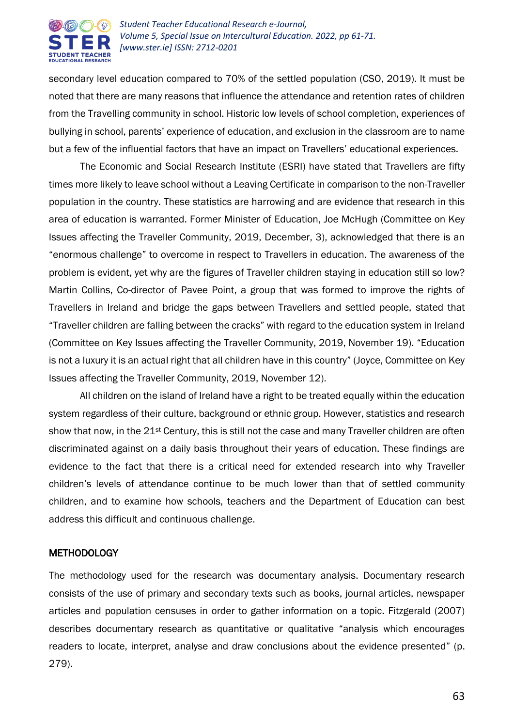

secondary level education compared to 70% of the settled population (CSO, 2019). It must be noted that there are many reasons that influence the attendance and retention rates of children from the Travelling community in school. Historic low levels of school completion, experiences of bullying in school, parents' experience of education, and exclusion in the classroom are to name but a few of the influential factors that have an impact on Travellers' educational experiences.

The Economic and Social Research Institute (ESRI) have stated that Travellers are fifty times more likely to leave school without a Leaving Certificate in comparison to the non-Traveller population in the country. These statistics are harrowing and are evidence that research in this area of education is warranted. Former Minister of Education, Joe McHugh (Committee on Key Issues affecting the Traveller Community, 2019, December, 3), acknowledged that there is an "enormous challenge" to overcome in respect to Travellers in education. The awareness of the problem is evident, yet why are the figures of Traveller children staying in education still so low? Martin Collins, Co-director of Pavee Point, a group that was formed to improve the rights of Travellers in Ireland and bridge the gaps between Travellers and settled people, stated that "Traveller children are falling between the cracks" with regard to the education system in Ireland (Committee on Key Issues affecting the Traveller Community, 2019, November 19). "Education is not a luxury it is an actual right that all children have in this country" (Joyce, Committee on Key Issues affecting the Traveller Community, 2019, November 12).

All children on the island of Ireland have a right to be treated equally within the education system regardless of their culture, background or ethnic group. However, statistics and research show that now, in the 21<sup>st</sup> Century, this is still not the case and many Traveller children are often discriminated against on a daily basis throughout their years of education. These findings are evidence to the fact that there is a critical need for extended research into why Traveller children's levels of attendance continue to be much lower than that of settled community children, and to examine how schools, teachers and the Department of Education can best address this difficult and continuous challenge.

## **METHODOLOGY**

The methodology used for the research was documentary analysis. Documentary research consists of the use of primary and secondary texts such as books, journal articles, newspaper articles and population censuses in order to gather information on a topic. Fitzgerald (2007) describes documentary research as quantitative or qualitative "analysis which encourages readers to locate, interpret, analyse and draw conclusions about the evidence presented" (p. 279).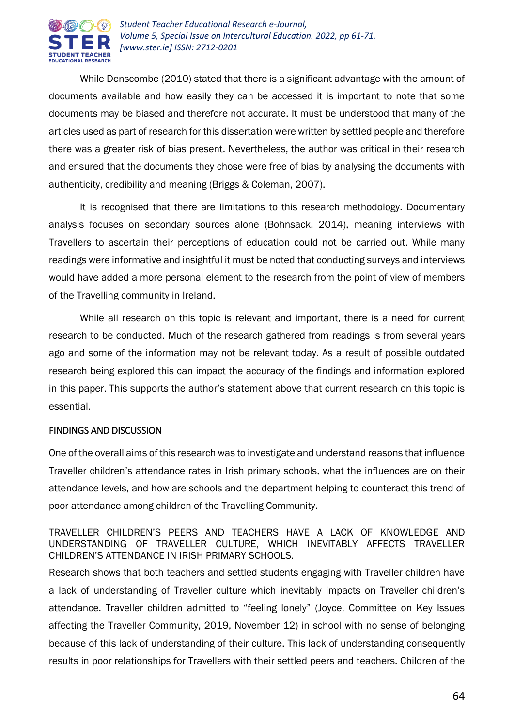

While Denscombe (2010) stated that there is a significant advantage with the amount of documents available and how easily they can be accessed it is important to note that some documents may be biased and therefore not accurate. It must be understood that many of the articles used as part of research for this dissertation were written by settled people and therefore there was a greater risk of bias present. Nevertheless, the author was critical in their research and ensured that the documents they chose were free of bias by analysing the documents with authenticity, credibility and meaning (Briggs & Coleman, 2007).

It is recognised that there are limitations to this research methodology. Documentary analysis focuses on secondary sources alone (Bohnsack, 2014), meaning interviews with Travellers to ascertain their perceptions of education could not be carried out. While many readings were informative and insightful it must be noted that conducting surveys and interviews would have added a more personal element to the research from the point of view of members of the Travelling community in Ireland.

While all research on this topic is relevant and important, there is a need for current research to be conducted. Much of the research gathered from readings is from several years ago and some of the information may not be relevant today. As a result of possible outdated research being explored this can impact the accuracy of the findings and information explored in this paper. This supports the author's statement above that current research on this topic is essential.

## FINDINGS AND DISCUSSION

One of the overall aims of this research was to investigate and understand reasons that influence Traveller children's attendance rates in Irish primary schools, what the influences are on their attendance levels, and how are schools and the department helping to counteract this trend of poor attendance among children of the Travelling Community.

TRAVELLER CHILDREN'S PEERS AND TEACHERS HAVE A LACK OF KNOWLEDGE AND UNDERSTANDING OF TRAVELLER CULTURE, WHICH INEVITABLY AFFECTS TRAVELLER CHILDREN'S ATTENDANCE IN IRISH PRIMARY SCHOOLS.

Research shows that both teachers and settled students engaging with Traveller children have a lack of understanding of Traveller culture which inevitably impacts on Traveller children's attendance. Traveller children admitted to "feeling lonely" (Joyce, Committee on Key Issues affecting the Traveller Community, 2019, November 12) in school with no sense of belonging because of this lack of understanding of their culture. This lack of understanding consequently results in poor relationships for Travellers with their settled peers and teachers. Children of the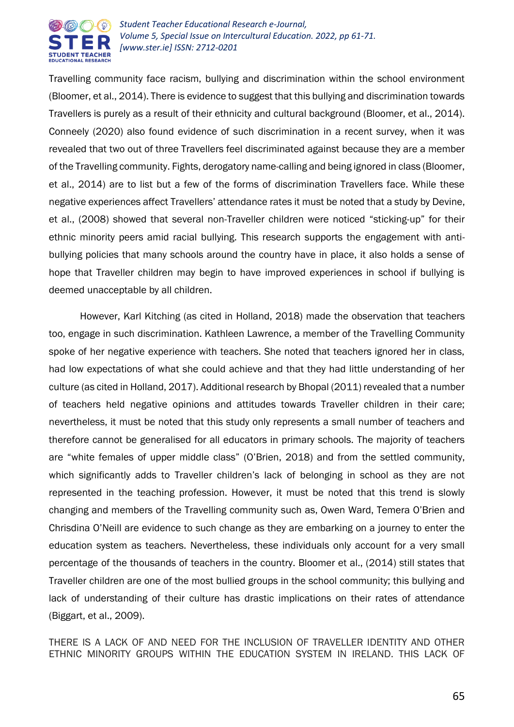

Travelling community face racism, bullying and discrimination within the school environment (Bloomer, et al., 2014). There is evidence to suggest that this bullying and discrimination towards Travellers is purely as a result of their ethnicity and cultural background (Bloomer, et al., 2014). Conneely (2020) also found evidence of such discrimination in a recent survey, when it was revealed that two out of three Travellers feel discriminated against because they are a member of the Travelling community. Fights, derogatory name-calling and being ignored in class (Bloomer, et al., 2014) are to list but a few of the forms of discrimination Travellers face. While these negative experiences affect Travellers' attendance rates it must be noted that a study by Devine, et al., (2008) showed that several non-Traveller children were noticed "sticking-up" for their ethnic minority peers amid racial bullying. This research supports the engagement with antibullying policies that many schools around the country have in place, it also holds a sense of hope that Traveller children may begin to have improved experiences in school if bullying is deemed unacceptable by all children.

However, Karl Kitching (as cited in Holland, 2018) made the observation that teachers too, engage in such discrimination. Kathleen Lawrence, a member of the Travelling Community spoke of her negative experience with teachers. She noted that teachers ignored her in class, had low expectations of what she could achieve and that they had little understanding of her culture (as cited in Holland, 2017). Additional research by Bhopal (2011) revealed that a number of teachers held negative opinions and attitudes towards Traveller children in their care; nevertheless, it must be noted that this study only represents a small number of teachers and therefore cannot be generalised for all educators in primary schools. The majority of teachers are "white females of upper middle class" (O'Brien, 2018) and from the settled community, which significantly adds to Traveller children's lack of belonging in school as they are not represented in the teaching profession. However, it must be noted that this trend is slowly changing and members of the Travelling community such as, Owen Ward, Temera O'Brien and Chrisdina O'Neill are evidence to such change as they are embarking on a journey to enter the education system as teachers. Nevertheless, these individuals only account for a very small percentage of the thousands of teachers in the country. Bloomer et al., (2014) still states that Traveller children are one of the most bullied groups in the school community; this bullying and lack of understanding of their culture has drastic implications on their rates of attendance (Biggart, et al., 2009).

THERE IS A LACK OF AND NEED FOR THE INCLUSION OF TRAVELLER IDENTITY AND OTHER ETHNIC MINORITY GROUPS WITHIN THE EDUCATION SYSTEM IN IRELAND. THIS LACK OF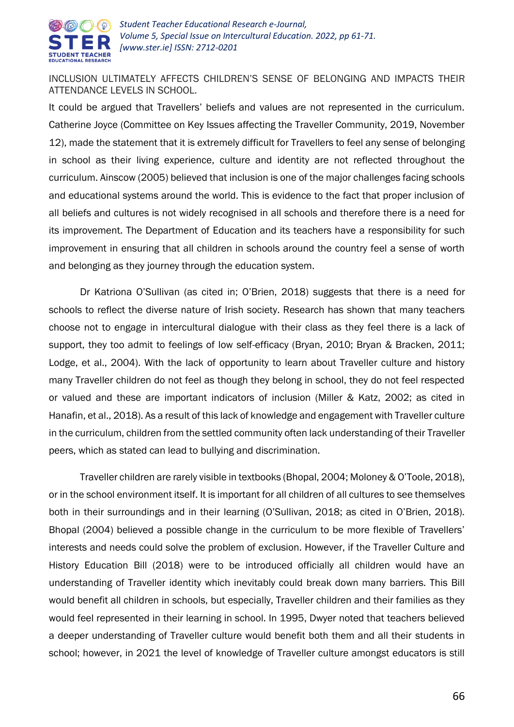

INCLUSION ULTIMATELY AFFECTS CHILDREN'S SENSE OF BELONGING AND IMPACTS THEIR ATTENDANCE LEVELS IN SCHOOL.

It could be argued that Travellers' beliefs and values are not represented in the curriculum. Catherine Joyce (Committee on Key Issues affecting the Traveller Community, 2019, November 12), made the statement that it is extremely difficult for Travellers to feel any sense of belonging in school as their living experience, culture and identity are not reflected throughout the curriculum. Ainscow (2005) believed that inclusion is one of the major challenges facing schools and educational systems around the world. This is evidence to the fact that proper inclusion of all beliefs and cultures is not widely recognised in all schools and therefore there is a need for its improvement. The Department of Education and its teachers have a responsibility for such improvement in ensuring that all children in schools around the country feel a sense of worth and belonging as they journey through the education system.

Dr Katriona O'Sullivan (as cited in; O'Brien, 2018) suggests that there is a need for schools to reflect the diverse nature of Irish society. Research has shown that many teachers choose not to engage in intercultural dialogue with their class as they feel there is a lack of support, they too admit to feelings of low self-efficacy (Bryan, 2010; Bryan & Bracken, 2011; Lodge, et al., 2004). With the lack of opportunity to learn about Traveller culture and history many Traveller children do not feel as though they belong in school, they do not feel respected or valued and these are important indicators of inclusion (Miller & Katz, 2002; as cited in Hanafin, et al., 2018). As a result of this lack of knowledge and engagement with Traveller culture in the curriculum, children from the settled community often lack understanding of their Traveller peers, which as stated can lead to bullying and discrimination.

Traveller children are rarely visible in textbooks (Bhopal, 2004; Moloney & O'Toole, 2018), or in the school environment itself. It is important for all children of all cultures to see themselves both in their surroundings and in their learning (O'Sullivan, 2018; as cited in O'Brien, 2018). Bhopal (2004) believed a possible change in the curriculum to be more flexible of Travellers' interests and needs could solve the problem of exclusion. However, if the Traveller Culture and History Education Bill (2018) were to be introduced officially all children would have an understanding of Traveller identity which inevitably could break down many barriers. This Bill would benefit all children in schools, but especially, Traveller children and their families as they would feel represented in their learning in school. In 1995, Dwyer noted that teachers believed a deeper understanding of Traveller culture would benefit both them and all their students in school; however, in 2021 the level of knowledge of Traveller culture amongst educators is still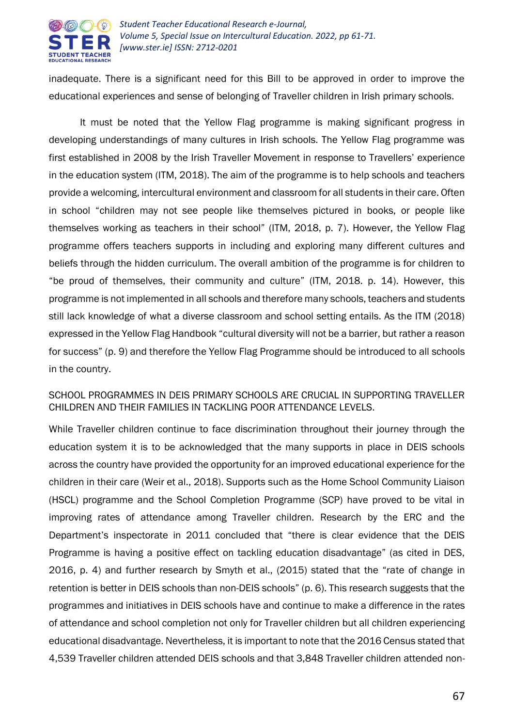

inadequate. There is a significant need for this Bill to be approved in order to improve the educational experiences and sense of belonging of Traveller children in Irish primary schools.

It must be noted that the Yellow Flag programme is making significant progress in developing understandings of many cultures in Irish schools. The Yellow Flag programme was first established in 2008 by the Irish Traveller Movement in response to Travellers' experience in the education system (ITM, 2018). The aim of the programme is to help schools and teachers provide a welcoming, intercultural environment and classroom for all students in their care. Often in school "children may not see people like themselves pictured in books, or people like themselves working as teachers in their school" (ITM, 2018, p. 7). However, the Yellow Flag programme offers teachers supports in including and exploring many different cultures and beliefs through the hidden curriculum. The overall ambition of the programme is for children to "be proud of themselves, their community and culture" (ITM, 2018. p. 14). However, this programme is not implemented in all schools and therefore many schools, teachers and students still lack knowledge of what a diverse classroom and school setting entails. As the ITM (2018) expressed in the Yellow Flag Handbook "cultural diversity will not be a barrier, but rather a reason for success" (p. 9) and therefore the Yellow Flag Programme should be introduced to all schools in the country.

# SCHOOL PROGRAMMES IN DEIS PRIMARY SCHOOLS ARE CRUCIAL IN SUPPORTING TRAVELLER CHILDREN AND THEIR FAMILIES IN TACKLING POOR ATTENDANCE LEVELS.

While Traveller children continue to face discrimination throughout their journey through the education system it is to be acknowledged that the many supports in place in DEIS schools across the country have provided the opportunity for an improved educational experience for the children in their care (Weir et al., 2018). Supports such as the Home School Community Liaison (HSCL) programme and the School Completion Programme (SCP) have proved to be vital in improving rates of attendance among Traveller children. Research by the ERC and the Department's inspectorate in 2011 concluded that "there is clear evidence that the DEIS Programme is having a positive effect on tackling education disadvantage" (as cited in DES, 2016, p. 4) and further research by Smyth et al., (2015) stated that the "rate of change in retention is better in DEIS schools than non-DEIS schools" (p. 6). This research suggests that the programmes and initiatives in DEIS schools have and continue to make a difference in the rates of attendance and school completion not only for Traveller children but all children experiencing educational disadvantage. Nevertheless, it is important to note that the 2016 Census stated that 4,539 Traveller children attended DEIS schools and that 3,848 Traveller children attended non-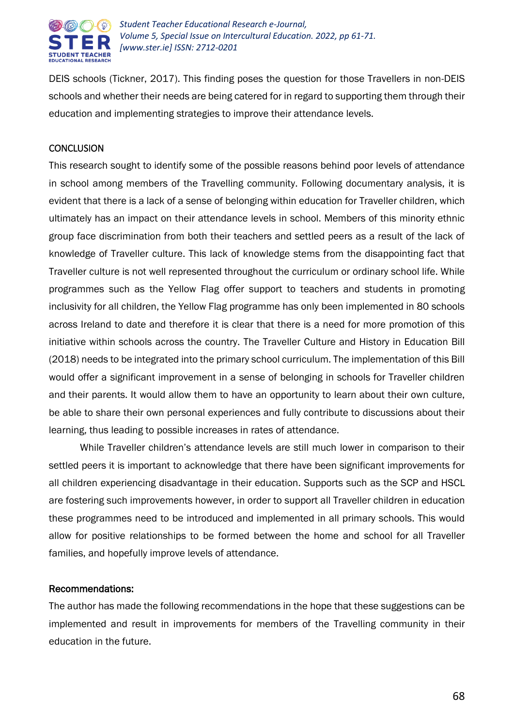

DEIS schools (Tickner, 2017). This finding poses the question for those Travellers in non-DEIS schools and whether their needs are being catered for in regard to supporting them through their education and implementing strategies to improve their attendance levels.

# **CONCLUSION**

This research sought to identify some of the possible reasons behind poor levels of attendance in school among members of the Travelling community. Following documentary analysis, it is evident that there is a lack of a sense of belonging within education for Traveller children, which ultimately has an impact on their attendance levels in school. Members of this minority ethnic group face discrimination from both their teachers and settled peers as a result of the lack of knowledge of Traveller culture. This lack of knowledge stems from the disappointing fact that Traveller culture is not well represented throughout the curriculum or ordinary school life. While programmes such as the Yellow Flag offer support to teachers and students in promoting inclusivity for all children, the Yellow Flag programme has only been implemented in 80 schools across Ireland to date and therefore it is clear that there is a need for more promotion of this initiative within schools across the country. The Traveller Culture and History in Education Bill (2018) needs to be integrated into the primary school curriculum. The implementation of this Bill would offer a significant improvement in a sense of belonging in schools for Traveller children and their parents. It would allow them to have an opportunity to learn about their own culture, be able to share their own personal experiences and fully contribute to discussions about their learning, thus leading to possible increases in rates of attendance.

While Traveller children's attendance levels are still much lower in comparison to their settled peers it is important to acknowledge that there have been significant improvements for all children experiencing disadvantage in their education. Supports such as the SCP and HSCL are fostering such improvements however, in order to support all Traveller children in education these programmes need to be introduced and implemented in all primary schools. This would allow for positive relationships to be formed between the home and school for all Traveller families, and hopefully improve levels of attendance.

## Recommendations:

The author has made the following recommendations in the hope that these suggestions can be implemented and result in improvements for members of the Travelling community in their education in the future.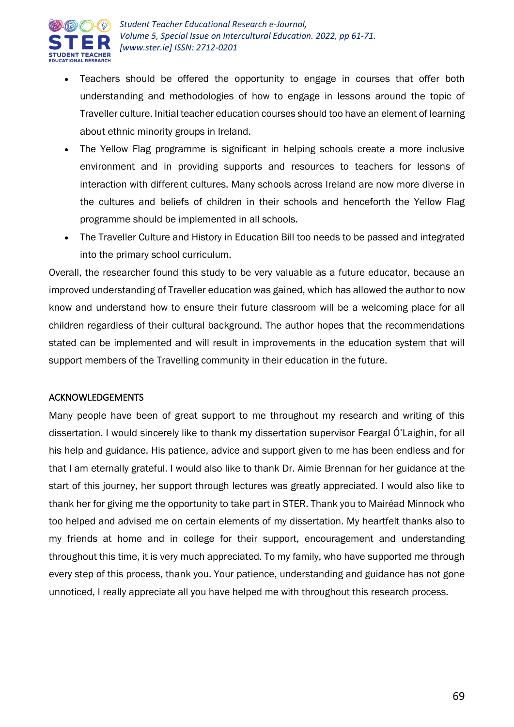

- Teachers should be offered the opportunity to engage in courses that offer both understanding and methodologies of how to engage in lessons around the topic of Traveller culture. Initial teacher education courses should too have an element of learning about ethnic minority groups in Ireland.
- The Yellow Flag programme is significant in helping schools create a more inclusive environment and in providing supports and resources to teachers for lessons of interaction with different cultures. Many schools across Ireland are now more diverse in the cultures and beliefs of children in their schools and henceforth the Yellow Flag programme should be implemented in all schools.
- The Traveller Culture and History in Education Bill too needs to be passed and integrated into the primary school curriculum.

Overall, the researcher found this study to be very valuable as a future educator, because an improved understanding of Traveller education was gained, which has allowed the author to now know and understand how to ensure their future classroom will be a welcoming place for all children regardless of their cultural background. The author hopes that the recommendations stated can be implemented and will result in improvements in the education system that will support members of the Travelling community in their education in the future.

# ACKNOWLEDGEMENTS

Many people have been of great support to me throughout my research and writing of this dissertation. I would sincerely like to thank my dissertation supervisor Feargal Ó'Laighin, for all his help and guidance. His patience, advice and support given to me has been endless and for that I am eternally grateful. I would also like to thank Dr. Aimie Brennan for her guidance at the start of this journey, her support through lectures was greatly appreciated. I would also like to thank her for giving me the opportunity to take part in STER. Thank you to Mairéad Minnock who too helped and advised me on certain elements of my dissertation. My heartfelt thanks also to my friends at home and in college for their support, encouragement and understanding throughout this time, it is very much appreciated. To my family, who have supported me through every step of this process, thank you. Your patience, understanding and guidance has not gone unnoticed, I really appreciate all you have helped me with throughout this research process.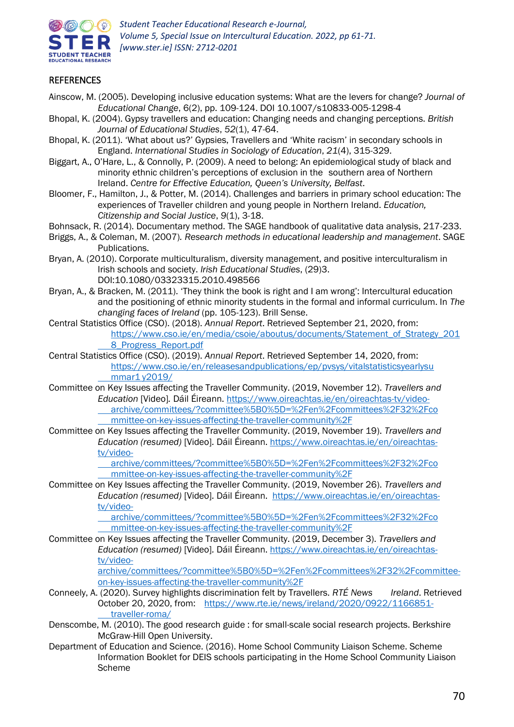

# **REFERENCES**

- Ainscow, M. (2005). Developing inclusive education systems: What are the levers for change? *Journal of Educational Change*, 6(2), pp. 109-124. DOI 10.1007/s10833-005-1298-4
- Bhopal, K. (2004). Gypsy travellers and education: Changing needs and changing perceptions. *British Journal of Educational Studies*, *52*(1), 47-64.
- Bhopal, K. (2011). 'What about us?' Gypsies, Travellers and 'White racism' in secondary schools in England. *International Studies in Sociology of Education*, *21*(4), 315-329.
- Biggart, A., O'Hare, L., & Connolly, P. (2009). A need to belong: An epidemiological study of black and minority ethnic children's perceptions of exclusion in the southern area of Northern Ireland. *Centre for Effective Education, Queen's University, Belfast*.
- Bloomer, F., Hamilton, J., & Potter, M. (2014). Challenges and barriers in primary school education: The experiences of Traveller children and young people in Northern Ireland. *Education, Citizenship and Social Justice*, *9*(1), 3-18.
- Bohnsack, R. (2014). Documentary method. The SAGE handbook of qualitative data analysis, 217-233.
- Briggs, A., & Coleman, M. (2007)*. Research methods in educational leadership and management*. SAGE Publications.
- Bryan, A. (2010). Corporate multiculturalism, diversity management, and positive interculturalism in Irish schools and society. *Irish Educational Studies*, (29)3. DOI:10.1080/03323315.2010.498566
- Bryan, A., & Bracken, M. (2011). 'They think the book is right and I am wrong': Intercultural education and the positioning of ethnic minority students in the formal and informal curriculum. In *The changing faces of Ireland* (pp. 105-123). Brill Sense.
- Central Statistics Office (CSO). (2018). *Annual Report*. Retrieved September 21, 2020, from: [https://www.cso.ie/en/media/csoie/aboutus/documents/Statement\\_of\\_Strategy\\_201](https://www.cso.ie/en/media/csoie/aboutus/documents/Statement_of_Strategy_201%098_Progress_Report.pdf) [8\\_Progress\\_Report.pdf](https://www.cso.ie/en/media/csoie/aboutus/documents/Statement_of_Strategy_201%098_Progress_Report.pdf)
- Central Statistics Office (CSO). (2019). *Annual Report*. Retrieved September 14, 2020, from: [https://www.cso.ie/en/releasesandpublications/ep/pvsys/vitalstatisticsyearlysu](https://www.cso.ie/en/releasesandpublications/ep/pvsys/vitalstatisticsyearlysu%09mmar1%09y2019/) mmar1 [y2019/](https://www.cso.ie/en/releasesandpublications/ep/pvsys/vitalstatisticsyearlysu%09mmar1%09y2019/)
- Committee on Key Issues affecting the Traveller Community. (2019, November 12). *Travellers and Education* [Video]*.* Dáil Éireann. [https://www.oireachtas.ie/en/oireachtas-tv/video](https://www.oireachtas.ie/en/oireachtas-tv/video-%09archive/committees/?committee%5B0%5D=%2Fen%2Fcommittees%2F32%2Fco%09mmittee-on-key-issues-affecting-the-traveller-community%2F)[archive/committees/?committee%5B0%5D=%2Fen%2Fcommittees%2F32%2Fco](https://www.oireachtas.ie/en/oireachtas-tv/video-%09archive/committees/?committee%5B0%5D=%2Fen%2Fcommittees%2F32%2Fco%09mmittee-on-key-issues-affecting-the-traveller-community%2F)

[mmittee-on-key-issues-affecting-the-traveller-community%2F](https://www.oireachtas.ie/en/oireachtas-tv/video-%09archive/committees/?committee%5B0%5D=%2Fen%2Fcommittees%2F32%2Fco%09mmittee-on-key-issues-affecting-the-traveller-community%2F)

Committee on Key Issues affecting the Traveller Community. (2019, November 19). *Travellers and Education (resumed)* [Video]*.* Dáil Éireann. [https://www.oireachtas.ie/en/oireachtas](https://www.oireachtas.ie/en/oireachtas-tv/video-%09archive/committees/?committee%5B0%5D=%2Fen%2Fcommittees%2F32%2Fco%09mmittee-on-key-issues-affecting-the-traveller-community%2F)[tv/video-](https://www.oireachtas.ie/en/oireachtas-tv/video-%09archive/committees/?committee%5B0%5D=%2Fen%2Fcommittees%2F32%2Fco%09mmittee-on-key-issues-affecting-the-traveller-community%2F)

[archive/committees/?committee%5B0%5D=%2Fen%2Fcommittees%2F32%2Fco](https://www.oireachtas.ie/en/oireachtas-tv/video-%09archive/committees/?committee%5B0%5D=%2Fen%2Fcommittees%2F32%2Fco%09mmittee-on-key-issues-affecting-the-traveller-community%2F) [mmittee-on-key-issues-affecting-the-traveller-community%2F](https://www.oireachtas.ie/en/oireachtas-tv/video-%09archive/committees/?committee%5B0%5D=%2Fen%2Fcommittees%2F32%2Fco%09mmittee-on-key-issues-affecting-the-traveller-community%2F)

Committee on Key Issues affecting the Traveller Community. (2019, November 26). *Travellers and Education (resumed)* [Video]*.* Dáil Éireann. [https://www.oireachtas.ie/en/oireachtas](https://www.oireachtas.ie/en/oireachtas-tv/video-%09archive/committees/?committee%5B0%5D=%2Fen%2Fcommittees%2F32%2Fco%09mmittee-on-key-issues-affecting-the-traveller-community%2F)[tv/video-](https://www.oireachtas.ie/en/oireachtas-tv/video-%09archive/committees/?committee%5B0%5D=%2Fen%2Fcommittees%2F32%2Fco%09mmittee-on-key-issues-affecting-the-traveller-community%2F)

> [archive/committees/?committee%5B0%5D=%2Fen%2Fcommittees%2F32%2Fco](https://www.oireachtas.ie/en/oireachtas-tv/video-%09archive/committees/?committee%5B0%5D=%2Fen%2Fcommittees%2F32%2Fco%09mmittee-on-key-issues-affecting-the-traveller-community%2F) [mmittee-on-key-issues-affecting-the-traveller-community%2F](https://www.oireachtas.ie/en/oireachtas-tv/video-%09archive/committees/?committee%5B0%5D=%2Fen%2Fcommittees%2F32%2Fco%09mmittee-on-key-issues-affecting-the-traveller-community%2F)

Committee on Key Issues affecting the Traveller Community. (2019, December 3). *Travellers and Education (resumed)* [Video]*.* Dáil Éireann. [https://www.oireachtas.ie/en/oireachtas](https://www.oireachtas.ie/en/oireachtas-tv/video-archive/committees/?committee%5B0%5D=%2Fen%2Fcommittees%2F32%2Fcommittee-on-key-issues-affecting-the-traveller-community%2F)[tv/video-](https://www.oireachtas.ie/en/oireachtas-tv/video-archive/committees/?committee%5B0%5D=%2Fen%2Fcommittees%2F32%2Fcommittee-on-key-issues-affecting-the-traveller-community%2F)

[archive/committees/?committee%5B0%5D=%2Fen%2Fcommittees%2F32%2Fcommittee](https://www.oireachtas.ie/en/oireachtas-tv/video-archive/committees/?committee%5B0%5D=%2Fen%2Fcommittees%2F32%2Fcommittee-on-key-issues-affecting-the-traveller-community%2F)[on-key-issues-affecting-the-traveller-community%2F](https://www.oireachtas.ie/en/oireachtas-tv/video-archive/committees/?committee%5B0%5D=%2Fen%2Fcommittees%2F32%2Fcommittee-on-key-issues-affecting-the-traveller-community%2F)

- Conneely, A. (2020). Survey highlights discrimination felt by Travellers. *RTÉ News Ireland*. Retrieved October 20, 2020, from: [https://www.rte.ie/news/ireland/2020/0922/1166851](https://www.rte.ie/news/ireland/2020/0922/1166851-%09traveller-roma/) [traveller-roma/](https://www.rte.ie/news/ireland/2020/0922/1166851-%09traveller-roma/)
- Denscombe, M. (2010). The good research guide : for small-scale social research projects. Berkshire McGraw-Hill Open University.
- Department of Education and Science. (2016). Home School Community Liaison Scheme. Scheme Information Booklet for DEIS schools participating in the Home School Community Liaison Scheme